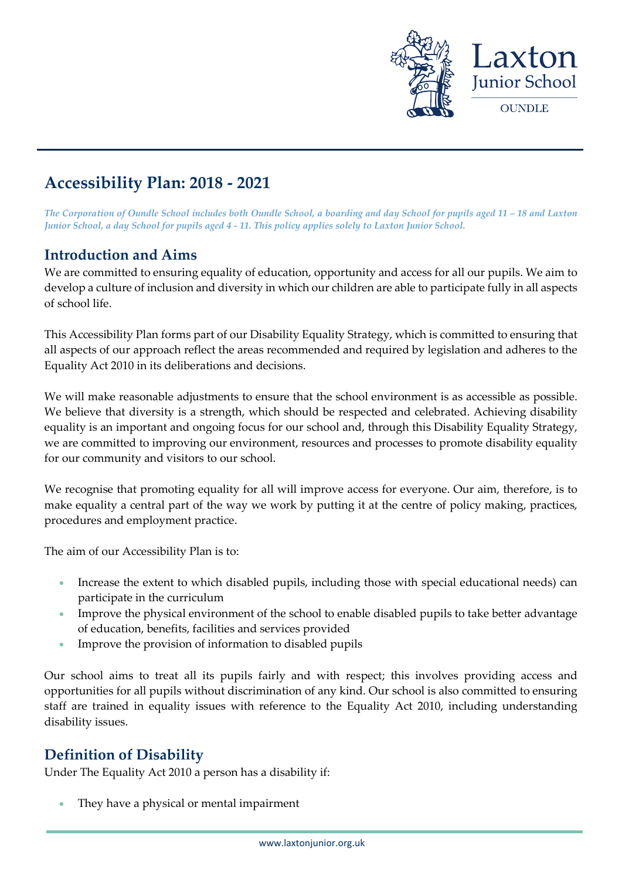

# **Accessibility Plan: 2018 - 2021**

*The Corporation of Oundle School includes both Oundle School, a boarding and day School for pupils aged 11 – 18 and Laxton Junior School, a day School for pupils aged 4 - 11. This policy applies solely to Laxton Junior School.*

### **Introduction and Aims**

We are committed to ensuring equality of education, opportunity and access for all our pupils. We aim to develop a culture of inclusion and diversity in which our children are able to participate fully in all aspects of school life.

This Accessibility Plan forms part of our Disability Equality Strategy, which is committed to ensuring that all aspects of our approach reflect the areas recommended and required by legislation and adheres to the Equality Act 2010 in its deliberations and decisions.

We will make reasonable adjustments to ensure that the school environment is as accessible as possible. We believe that diversity is a strength, which should be respected and celebrated. Achieving disability equality is an important and ongoing focus for our school and, through this Disability Equality Strategy, we are committed to improving our environment, resources and processes to promote disability equality for our community and visitors to our school.

We recognise that promoting equality for all will improve access for everyone. Our aim, therefore, is to make equality a central part of the way we work by putting it at the centre of policy making, practices, procedures and employment practice.

The aim of our Accessibility Plan is to:

- Increase the extent to which disabled pupils, including those with special educational needs) can participate in the curriculum
- Improve the physical environment of the school to enable disabled pupils to take better advantage of education, benefits, facilities and services provided
- Improve the provision of information to disabled pupils

Our school aims to treat all its pupils fairly and with respect; this involves providing access and opportunities for all pupils without discrimination of any kind. Our school is also committed to ensuring staff are trained in equality issues with reference to the Equality Act 2010, including understanding disability issues.

### **Definition of Disability**

Under The Equality Act 2010 a person has a disability if:

They have a physical or mental impairment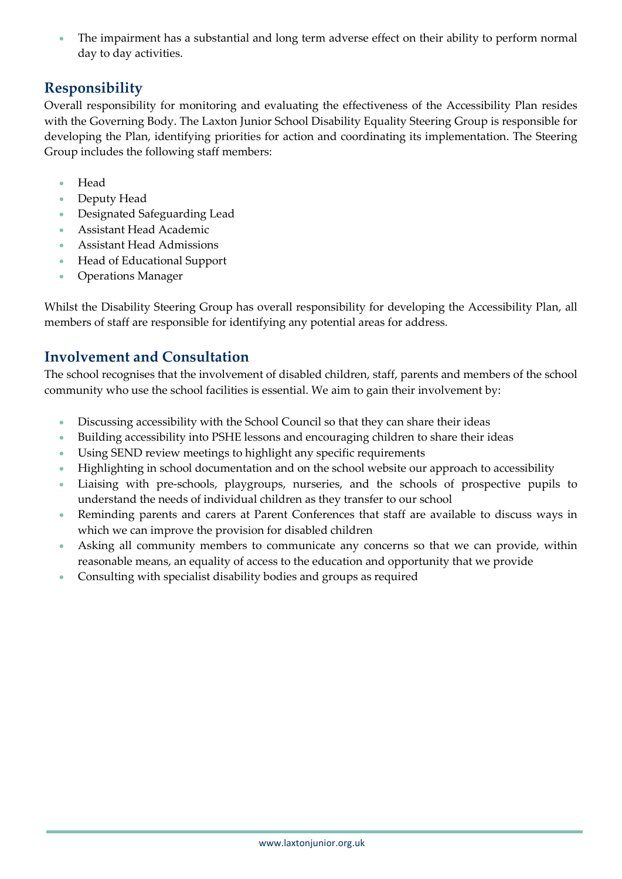The impairment has a substantial and long term adverse effect on their ability to perform normal day to day activities.

### **Responsibility**

Overall responsibility for monitoring and evaluating the effectiveness of the Accessibility Plan resides with the Governing Body. The Laxton Junior School Disability Equality Steering Group is responsible for developing the Plan, identifying priorities for action and coordinating its implementation. The Steering Group includes the following staff members:

- Head
- Deputy Head
- Designated Safeguarding Lead
- Assistant Head Academic
- Assistant Head Admissions
- Head of Educational Support
- Operations Manager

Whilst the Disability Steering Group has overall responsibility for developing the Accessibility Plan, all members of staff are responsible for identifying any potential areas for address.

# **Involvement and Consultation**

The school recognises that the involvement of disabled children, staff, parents and members of the school community who use the school facilities is essential. We aim to gain their involvement by:

- Discussing accessibility with the School Council so that they can share their ideas
- Building accessibility into PSHE lessons and encouraging children to share their ideas
- Using SEND review meetings to highlight any specific requirements
- Highlighting in school documentation and on the school website our approach to accessibility
- Liaising with pre-schools, playgroups, nurseries, and the schools of prospective pupils to understand the needs of individual children as they transfer to our school
- Reminding parents and carers at Parent Conferences that staff are available to discuss ways in which we can improve the provision for disabled children
- Asking all community members to communicate any concerns so that we can provide, within reasonable means, an equality of access to the education and opportunity that we provide
- Consulting with specialist disability bodies and groups as required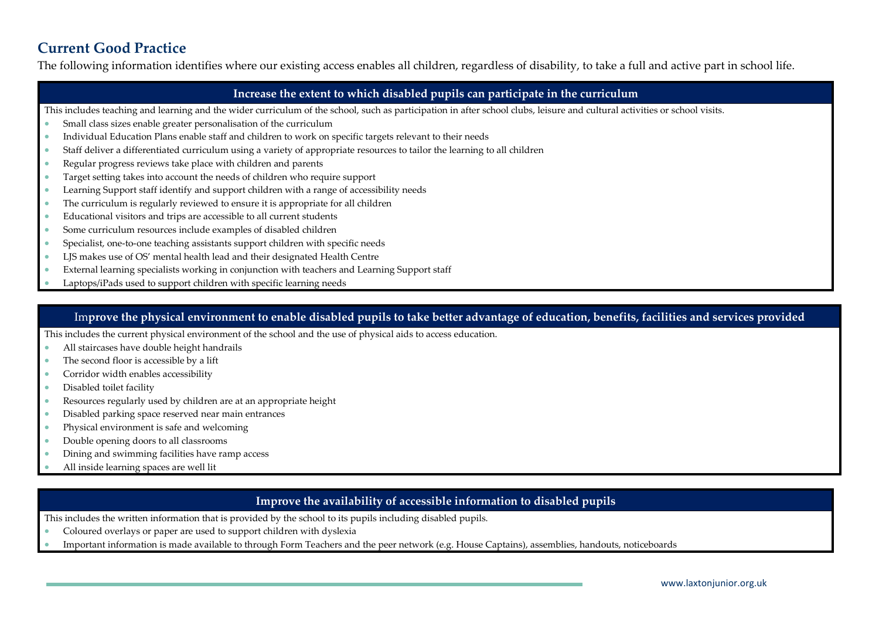## **Current Good Practice**

The following information identifies where our existing access enables all children, regardless of disability, to take a full and active part in school life.

#### **Increase the extent to which disabled pupils can participate in the curriculum**

- This includes teaching and learning and the wider curriculum of the school, such as participation in after school clubs, leisure and cultural activities or school visits.
- Small class sizes enable greater personalisation of the curriculum
- Individual Education Plans enable staff and children to work on specific targets relevant to their needs
- Staff deliver a differentiated curriculum using a variety of appropriate resources to tailor the learning to all children
- Regular progress reviews take place with children and parents
- Target setting takes into account the needs of children who require support
- Learning Support staff identify and support children with a range of accessibility needs
- The curriculum is regularly reviewed to ensure it is appropriate for all children
- Educational visitors and trips are accessible to all current students
- Some curriculum resources include examples of disabled children
- Specialist, one-to-one teaching assistants support children with specific needs
- LJS makes use of OS' mental health lead and their designated Health Centre
- External learning specialists working in conjunction with teachers and Learning Support staff
- Laptops/iPads used to support children with specific learning needs

#### Im**prove the physical environment to enable disabled pupils to take better advantage of education, benefits, facilities and services provided**

This includes the current physical environment of the school and the use of physical aids to access education.

- All staircases have double height handrails
- The second floor is accessible by a lift
- Corridor width enables accessibility
- Disabled toilet facility
- Resources regularly used by children are at an appropriate height
- Disabled parking space reserved near main entrances
- Physical environment is safe and welcoming
- Double opening doors to all classrooms
- Dining and swimming facilities have ramp access
- All inside learning spaces are well lit

#### **Improve the availability of accessible information to disabled pupils**

This includes the written information that is provided by the school to its pupils including disabled pupils.

- Coloured overlays or paper are used to support children with dyslexia
- Important information is made available to through Form Teachers and the peer network (e.g. House Captains), assemblies, handouts, noticeboards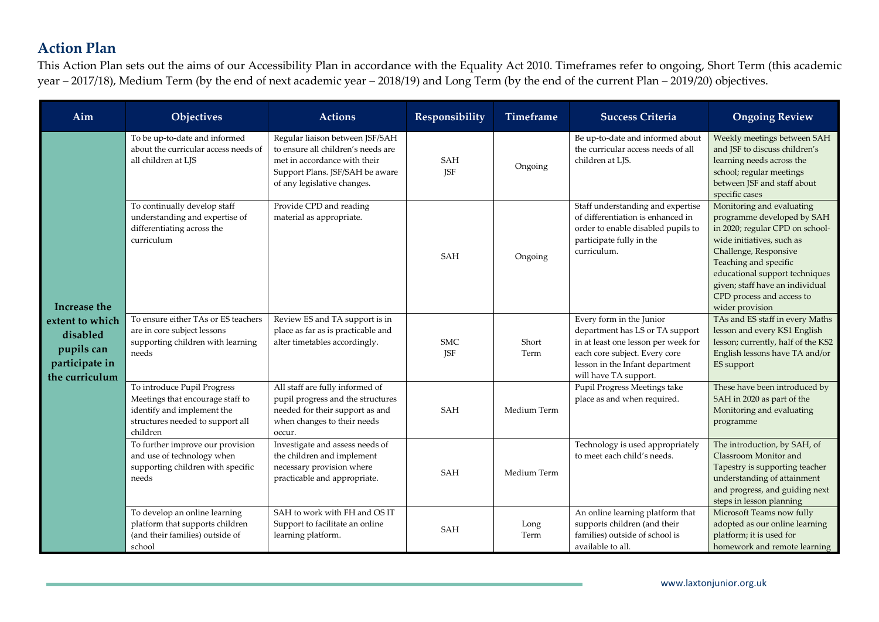# **Action Plan**

This Action Plan sets out the aims of our Accessibility Plan in accordance with the Equality Act 2010. Timeframes refer to ongoing, Short Term (this academic year – 2017/18), Medium Term (by the end of next academic year – 2018/19) and Long Term (by the end of the current Plan – 2019/20) objectives.

| Aim                                                                           | Objectives                                                                                                                                    | <b>Actions</b>                                                                                                                                                          | Responsibility           | <b>Timeframe</b> | <b>Success Criteria</b>                                                                                                                                                                         | <b>Ongoing Review</b>                                                                                                                                                                                                                                                                          |
|-------------------------------------------------------------------------------|-----------------------------------------------------------------------------------------------------------------------------------------------|-------------------------------------------------------------------------------------------------------------------------------------------------------------------------|--------------------------|------------------|-------------------------------------------------------------------------------------------------------------------------------------------------------------------------------------------------|------------------------------------------------------------------------------------------------------------------------------------------------------------------------------------------------------------------------------------------------------------------------------------------------|
| Increase the                                                                  | To be up-to-date and informed<br>about the curricular access needs of<br>all children at LJS                                                  | Regular liaison between JSF/SAH<br>to ensure all children's needs are<br>met in accordance with their<br>Support Plans. JSF/SAH be aware<br>of any legislative changes. | <b>SAH</b><br><b>JSF</b> | Ongoing          | Be up-to-date and informed about<br>the curricular access needs of all<br>children at LJS.                                                                                                      | Weekly meetings between SAH<br>and JSF to discuss children's<br>learning needs across the<br>school; regular meetings<br>between JSF and staff about<br>specific cases                                                                                                                         |
|                                                                               | To continually develop staff<br>understanding and expertise of<br>differentiating across the<br>curriculum                                    | Provide CPD and reading<br>material as appropriate.                                                                                                                     | <b>SAH</b>               | Ongoing          | Staff understanding and expertise<br>of differentiation is enhanced in<br>order to enable disabled pupils to<br>participate fully in the<br>curriculum.                                         | Monitoring and evaluating<br>programme developed by SAH<br>in 2020; regular CPD on school-<br>wide initiatives, such as<br>Challenge, Responsive<br>Teaching and specific<br>educational support techniques<br>given; staff have an individual<br>CPD process and access to<br>wider provision |
| extent to which<br>disabled<br>pupils can<br>participate in<br>the curriculum | To ensure either TAs or ES teachers<br>are in core subject lessons<br>supporting children with learning<br>needs                              | Review ES and TA support is in<br>place as far as is practicable and<br>alter timetables accordingly.                                                                   | <b>SMC</b><br><b>JSF</b> | Short<br>Term    | Every form in the Junior<br>department has LS or TA support<br>in at least one lesson per week for<br>each core subject. Every core<br>lesson in the Infant department<br>will have TA support. | TAs and ES staff in every Maths<br>lesson and every KS1 English<br>lesson; currently, half of the KS2<br>English lessons have TA and/or<br>ES support                                                                                                                                          |
|                                                                               | To introduce Pupil Progress<br>Meetings that encourage staff to<br>identify and implement the<br>structures needed to support all<br>children | All staff are fully informed of<br>pupil progress and the structures<br>needed for their support as and<br>when changes to their needs<br>occur.                        | SAH                      | Medium Term      | Pupil Progress Meetings take<br>place as and when required.                                                                                                                                     | These have been introduced by<br>SAH in 2020 as part of the<br>Monitoring and evaluating<br>programme                                                                                                                                                                                          |
|                                                                               | To further improve our provision<br>and use of technology when<br>supporting children with specific<br>needs                                  | Investigate and assess needs of<br>the children and implement<br>necessary provision where<br>practicable and appropriate.                                              | SAH                      | Medium Term      | Technology is used appropriately<br>to meet each child's needs.                                                                                                                                 | The introduction, by SAH, of<br>Classroom Monitor and<br>Tapestry is supporting teacher<br>understanding of attainment<br>and progress, and guiding next<br>steps in lesson planning                                                                                                           |
|                                                                               | To develop an online learning<br>platform that supports children<br>(and their families) outside of<br>school                                 | SAH to work with FH and OS IT<br>Support to facilitate an online<br>learning platform.                                                                                  | <b>SAH</b>               | Long<br>Term     | An online learning platform that<br>supports children (and their<br>families) outside of school is<br>available to all.                                                                         | Microsoft Teams now fully<br>adopted as our online learning<br>platform; it is used for<br>homework and remote learning                                                                                                                                                                        |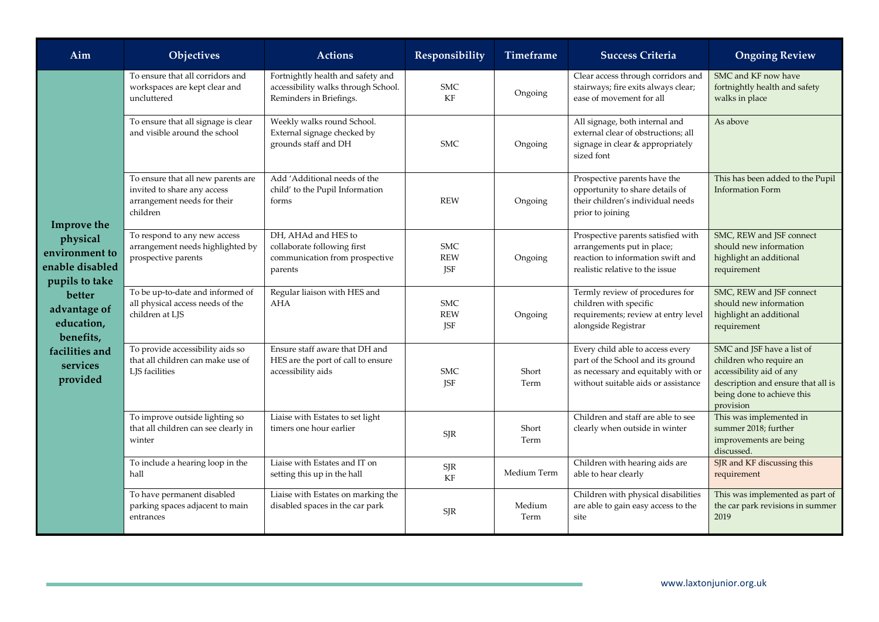| Aim                                                                                                                                                                           | Objectives                                                                                                   | <b>Actions</b>                                                                                      | Responsibility                                      | Timeframe      | <b>Success Criteria</b>                                                                                                                            | <b>Ongoing Review</b>                                                                                                                                              |
|-------------------------------------------------------------------------------------------------------------------------------------------------------------------------------|--------------------------------------------------------------------------------------------------------------|-----------------------------------------------------------------------------------------------------|-----------------------------------------------------|----------------|----------------------------------------------------------------------------------------------------------------------------------------------------|--------------------------------------------------------------------------------------------------------------------------------------------------------------------|
| Improve the<br>physical<br>environment to<br>enable disabled<br>pupils to take<br>better<br>advantage of<br>education,<br>benefits,<br>facilities and<br>services<br>provided | To ensure that all corridors and<br>workspaces are kept clear and<br>uncluttered                             | Fortnightly health and safety and<br>accessibility walks through School.<br>Reminders in Briefings. | <b>SMC</b><br>KF                                    | Ongoing        | Clear access through corridors and<br>stairways; fire exits always clear;<br>ease of movement for all                                              | SMC and KF now have<br>fortnightly health and safety<br>walks in place                                                                                             |
|                                                                                                                                                                               | To ensure that all signage is clear<br>and visible around the school                                         | Weekly walks round School.<br>External signage checked by<br>grounds staff and DH                   | <b>SMC</b>                                          | Ongoing        | All signage, both internal and<br>external clear of obstructions; all<br>signage in clear & appropriately<br>sized font                            | As above                                                                                                                                                           |
|                                                                                                                                                                               | To ensure that all new parents are<br>invited to share any access<br>arrangement needs for their<br>children | Add 'Additional needs of the<br>child' to the Pupil Information<br>forms                            | <b>REW</b>                                          | Ongoing        | Prospective parents have the<br>opportunity to share details of<br>their children's individual needs<br>prior to joining                           | This has been added to the Pupil<br><b>Information Form</b>                                                                                                        |
|                                                                                                                                                                               | To respond to any new access<br>arrangement needs highlighted by<br>prospective parents                      | DH. AHAd and HES to<br>collaborate following first<br>communication from prospective<br>parents     | <b>SMC</b><br><b>REW</b><br>JSF                     | Ongoing        | Prospective parents satisfied with<br>arrangements put in place;<br>reaction to information swift and<br>realistic relative to the issue           | SMC, REW and JSF connect<br>should new information<br>highlight an additional<br>requirement                                                                       |
|                                                                                                                                                                               | To be up-to-date and informed of<br>all physical access needs of the<br>children at LJS                      | Regular liaison with HES and<br><b>AHA</b>                                                          | <b>SMC</b><br><b>REW</b><br>JSF                     | Ongoing        | Termly review of procedures for<br>children with specific<br>requirements; review at entry level<br>alongside Registrar                            | SMC, REW and JSF connect<br>should new information<br>highlight an additional<br>requirement                                                                       |
|                                                                                                                                                                               | To provide accessibility aids so<br>that all children can make use of<br>LJS facilities                      | Ensure staff aware that DH and<br>HES are the port of call to ensure<br>accessibility aids          | <b>SMC</b><br><b>JSF</b>                            | Short<br>Term  | Every child able to access every<br>part of the School and its ground<br>as necessary and equitably with or<br>without suitable aids or assistance | SMC and JSF have a list of<br>children who require an<br>accessibility aid of any<br>description and ensure that all is<br>being done to achieve this<br>provision |
|                                                                                                                                                                               | To improve outside lighting so<br>that all children can see clearly in<br>winter                             | Liaise with Estates to set light<br>timers one hour earlier                                         | <b>SJR</b>                                          | Short<br>Term  | Children and staff are able to see<br>clearly when outside in winter                                                                               | This was implemented in<br>summer 2018; further<br>improvements are being<br>discussed.                                                                            |
|                                                                                                                                                                               | To include a hearing loop in the<br>hall                                                                     | Liaise with Estates and IT on<br>setting this up in the hall                                        | $\ensuremath{\mathrm{S}\mathrm{J}\mathrm{R}}$<br>KF | Medium Term    | Children with hearing aids are<br>able to hear clearly                                                                                             | SJR and KF discussing this<br>requirement                                                                                                                          |
|                                                                                                                                                                               | To have permanent disabled<br>parking spaces adjacent to main<br>entrances                                   | Liaise with Estates on marking the<br>disabled spaces in the car park                               | SJR                                                 | Medium<br>Term | Children with physical disabilities<br>are able to gain easy access to the<br>site                                                                 | This was implemented as part of<br>the car park revisions in summer<br>2019                                                                                        |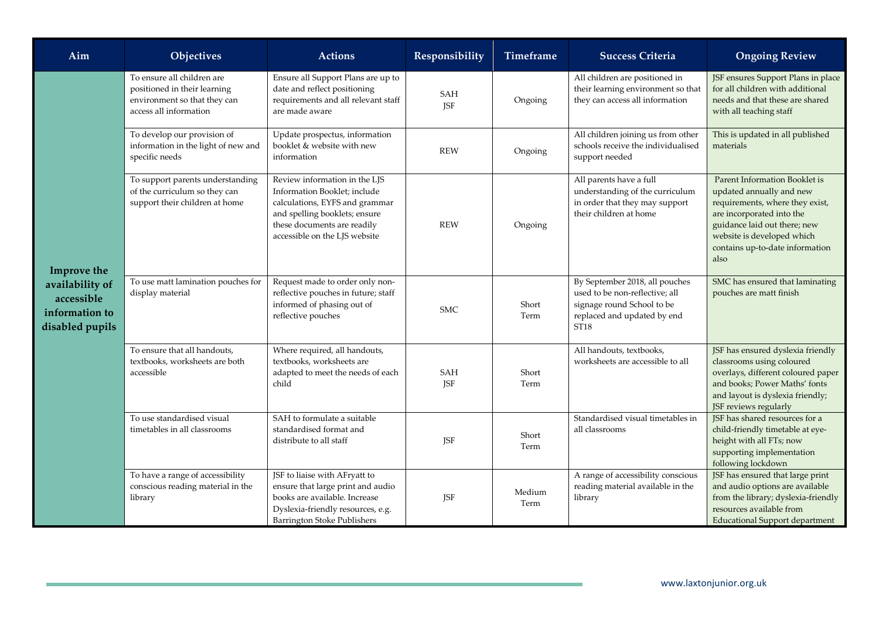| Aim                                                                               | Objectives                                                                                                           | <b>Actions</b>                                                                                                                                                                                   | Responsibility    | Timeframe      | <b>Success Criteria</b>                                                                                                                           | <b>Ongoing Review</b>                                                                                                                                                                                                              |
|-----------------------------------------------------------------------------------|----------------------------------------------------------------------------------------------------------------------|--------------------------------------------------------------------------------------------------------------------------------------------------------------------------------------------------|-------------------|----------------|---------------------------------------------------------------------------------------------------------------------------------------------------|------------------------------------------------------------------------------------------------------------------------------------------------------------------------------------------------------------------------------------|
| Improve the<br>availability of<br>accessible<br>information to<br>disabled pupils | To ensure all children are<br>positioned in their learning<br>environment so that they can<br>access all information | Ensure all Support Plans are up to<br>date and reflect positioning<br>requirements and all relevant staff<br>are made aware                                                                      | SAH<br><b>JSF</b> | Ongoing        | All children are positioned in<br>their learning environment so that<br>they can access all information                                           | JSF ensures Support Plans in place<br>for all children with additional<br>needs and that these are shared<br>with all teaching staff                                                                                               |
|                                                                                   | To develop our provision of<br>information in the light of new and<br>specific needs                                 | Update prospectus, information<br>booklet & website with new<br>information                                                                                                                      | <b>REW</b>        | Ongoing        | All children joining us from other<br>schools receive the individualised<br>support needed                                                        | This is updated in all published<br>materials                                                                                                                                                                                      |
|                                                                                   | To support parents understanding<br>of the curriculum so they can<br>support their children at home                  | Review information in the LJS<br>Information Booklet; include<br>calculations, EYFS and grammar<br>and spelling booklets; ensure<br>these documents are readily<br>accessible on the LJS website | <b>REW</b>        | Ongoing        | All parents have a full<br>understanding of the curriculum<br>in order that they may support<br>their children at home                            | Parent Information Booklet is<br>updated annually and new<br>requirements, where they exist,<br>are incorporated into the<br>guidance laid out there; new<br>website is developed which<br>contains up-to-date information<br>also |
|                                                                                   | To use matt lamination pouches for<br>display material                                                               | Request made to order only non-<br>reflective pouches in future; staff<br>informed of phasing out of<br>reflective pouches                                                                       | <b>SMC</b>        | Short<br>Term  | By September 2018, all pouches<br>used to be non-reflective; all<br>signage round School to be<br>replaced and updated by end<br>ST <sub>18</sub> | SMC has ensured that laminating<br>pouches are matt finish                                                                                                                                                                         |
|                                                                                   | To ensure that all handouts,<br>textbooks, worksheets are both<br>accessible                                         | Where required, all handouts,<br>textbooks, worksheets are<br>adapted to meet the needs of each<br>child                                                                                         | SAH<br>JSF        | Short<br>Term  | All handouts, textbooks,<br>worksheets are accessible to all                                                                                      | JSF has ensured dyslexia friendly<br>classrooms using coloured<br>overlays, different coloured paper<br>and books; Power Maths' fonts<br>and layout is dyslexia friendly;<br>JSF reviews regularly                                 |
|                                                                                   | To use standardised visual<br>timetables in all classrooms                                                           | SAH to formulate a suitable<br>standardised format and<br>distribute to all staff                                                                                                                | JSF               | Short<br>Term  | Standardised visual timetables in<br>all classrooms                                                                                               | JSF has shared resources for a<br>child-friendly timetable at eye-<br>height with all FTs; now<br>supporting implementation<br>following lockdown                                                                                  |
|                                                                                   | To have a range of accessibility<br>conscious reading material in the<br>library                                     | JSF to liaise with AFryatt to<br>ensure that large print and audio<br>books are available. Increase<br>Dyslexia-friendly resources, e.g.<br><b>Barrington Stoke Publishers</b>                   | JSF               | Medium<br>Term | A range of accessibility conscious<br>reading material available in the<br>library                                                                | JSF has ensured that large print<br>and audio options are available<br>from the library; dyslexia-friendly<br>resources available from<br><b>Educational Support department</b>                                                    |